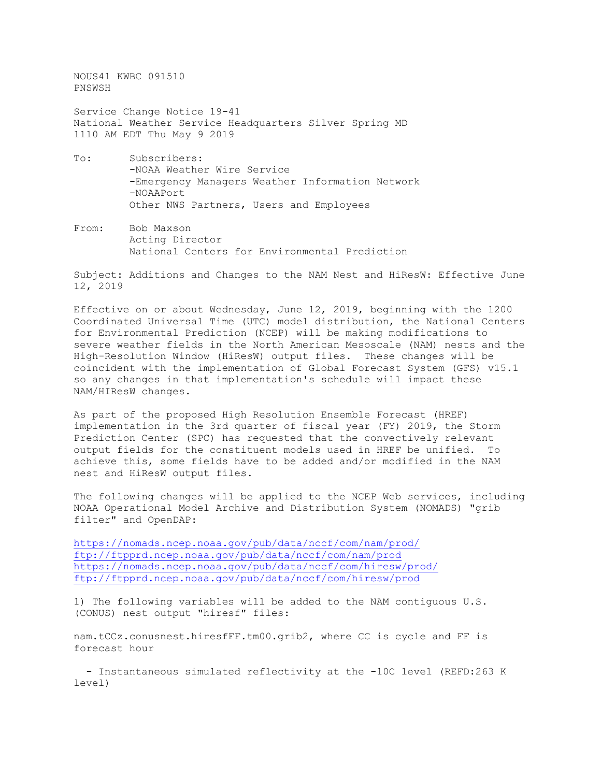NOUS41 KWBC 091510 PNSWSH Service Change Notice 19-41 National Weather Service Headquarters Silver Spring MD 1110 AM EDT Thu May 9 2019

- To: Subscribers: -NOAA Weather Wire Service -Emergency Managers Weather Information Network -NOAAPort Other NWS Partners, Users and Employees
- From: Bob Maxson Acting Director National Centers for Environmental Prediction

Subject: Additions and Changes to the NAM Nest and HiResW: Effective June 12, 2019

Effective on or about Wednesday, June 12, 2019, beginning with the 1200 Coordinated Universal Time (UTC) model distribution, the National Centers for Environmental Prediction (NCEP) will be making modifications to severe weather fields in the North American Mesoscale (NAM) nests and the High-Resolution Window (HiResW) output files. These changes will be coincident with the implementation of Global Forecast System (GFS) v15.1 so any changes in that implementation's schedule will impact these NAM/HIResW changes.

As part of the proposed High Resolution Ensemble Forecast (HREF) implementation in the 3rd quarter of fiscal year (FY) 2019, the Storm Prediction Center (SPC) has requested that the convectively relevant output fields for the constituent models used in HREF be unified. To achieve this, some fields have to be added and/or modified in the NAM nest and HiResW output files.

The following changes will be applied to the NCEP Web services, including NOAA Operational Model Archive and Distribution System (NOMADS) "grib filter" and OpenDAP:

<https://nomads.ncep.noaa.gov/pub/data/nccf/com/nam/prod/> <ftp://ftpprd.ncep.noaa.gov/pub/data/nccf/com/nam/prod> <https://nomads.ncep.noaa.gov/pub/data/nccf/com/hiresw/prod/> <ftp://ftpprd.ncep.noaa.gov/pub/data/nccf/com/hiresw/prod>

1) The following variables will be added to the NAM contiguous U.S. (CONUS) nest output "hiresf" files:

nam.tCCz.conusnest.hiresfFF.tm00.grib2, where CC is cycle and FF is forecast hour

 - Instantaneous simulated reflectivity at the -10C level (REFD:263 K level)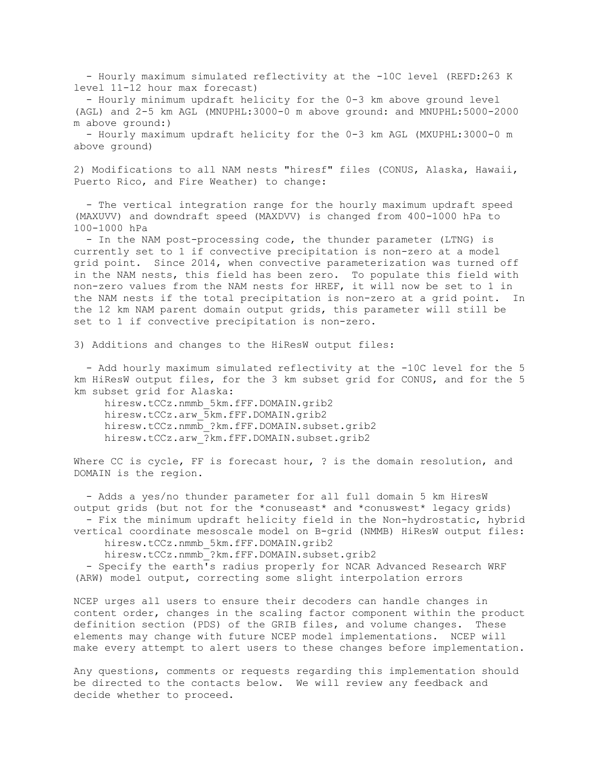- Hourly maximum simulated reflectivity at the -10C level (REFD:263 K level 11-12 hour max forecast)

 - Hourly minimum updraft helicity for the 0-3 km above ground level (AGL) and 2-5 km AGL (MNUPHL:3000-0 m above ground: and MNUPHL:5000-2000 m above ground:)

 - Hourly maximum updraft helicity for the 0-3 km AGL (MXUPHL:3000-0 m above ground)

2) Modifications to all NAM nests "hiresf" files (CONUS, Alaska, Hawaii, Puerto Rico, and Fire Weather) to change:

 - The vertical integration range for the hourly maximum updraft speed (MAXUVV) and downdraft speed (MAXDVV) is changed from 400-1000 hPa to 100-1000 hPa

 - In the NAM post-processing code, the thunder parameter (LTNG) is currently set to 1 if convective precipitation is non-zero at a model grid point. Since 2014, when convective parameterization was turned off in the NAM nests, this field has been zero. To populate this field with non-zero values from the NAM nests for HREF, it will now be set to 1 in the NAM nests if the total precipitation is non-zero at a grid point. In the 12 km NAM parent domain output grids, this parameter will still be set to 1 if convective precipitation is non-zero.

3) Additions and changes to the HiResW output files:

- Add hourly maximum simulated reflectivity at the -10C level for the 5 km HiResW output files, for the 3 km subset grid for CONUS, and for the 5 km subset grid for Alaska:

 hiresw.tCCz.nmmb\_5km.fFF.DOMAIN.grib2 hiresw.tCCz.arw\_5km.fFF.DOMAIN.grib2 hiresw.tCCz.nmmb\_?km.fFF.DOMAIN.subset.grib2 hiresw.tCCz.arw\_?km.fFF.DOMAIN.subset.grib2

Where CC is cycle, FF is forecast hour, ? is the domain resolution, and DOMAIN is the region.

 - Adds a yes/no thunder parameter for all full domain 5 km HiresW output grids (but not for the \*conuseast\* and \*conuswest\* legacy grids) - Fix the minimum updraft helicity field in the Non-hydrostatic, hybrid vertical coordinate mesoscale model on B-grid (NMMB) HiResW output files:

hiresw.tCCz.nmmb\_5km.fFF.DOMAIN.grib2

hiresw.tCCz.nmmb\_?km.fFF.DOMAIN.subset.grib2

 - Specify the earth's radius properly for NCAR Advanced Research WRF (ARW) model output, correcting some slight interpolation errors

NCEP urges all users to ensure their decoders can handle changes in content order, changes in the scaling factor component within the product definition section (PDS) of the GRIB files, and volume changes. These elements may change with future NCEP model implementations. NCEP will make every attempt to alert users to these changes before implementation.

Any questions, comments or requests regarding this implementation should be directed to the contacts below. We will review any feedback and decide whether to proceed.